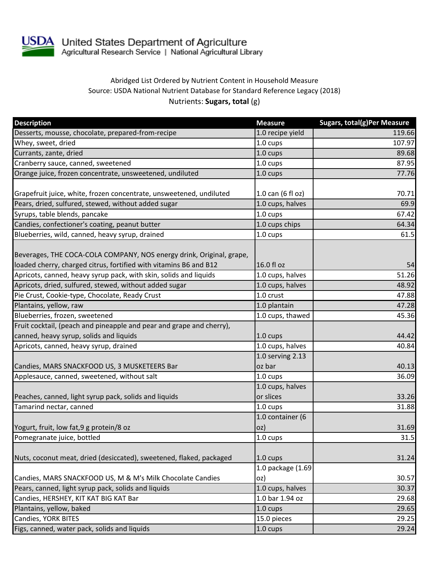

## Abridged List Ordered by Nutrient Content in Household Measure Source: USDA National Nutrient Database for Standard Reference Legacy (2018) Nutrients: **Sugars, total** (g)

| <b>Description</b>                                                   | <b>Measure</b>     | <b>Sugars, total(g)Per Measure</b> |
|----------------------------------------------------------------------|--------------------|------------------------------------|
| Desserts, mousse, chocolate, prepared-from-recipe                    | 1.0 recipe yield   | 119.66                             |
| Whey, sweet, dried                                                   | 1.0 cups           | 107.97                             |
| Currants, zante, dried                                               | 1.0 cups           | 89.68                              |
| Cranberry sauce, canned, sweetened                                   | 1.0 cups           | 87.95                              |
| Orange juice, frozen concentrate, unsweetened, undiluted             | 1.0 cups           | 77.76                              |
| Grapefruit juice, white, frozen concentrate, unsweetened, undiluted  | 1.0 can (6 fl oz)  | 70.71                              |
| Pears, dried, sulfured, stewed, without added sugar                  | 1.0 cups, halves   | 69.9                               |
| Syrups, table blends, pancake                                        | $1.0 \text{ cups}$ | 67.42                              |
| Candies, confectioner's coating, peanut butter                       | 1.0 cups chips     | 64.34                              |
| Blueberries, wild, canned, heavy syrup, drained                      | 1.0 cups           | 61.5                               |
| Beverages, THE COCA-COLA COMPANY, NOS energy drink, Original, grape, |                    |                                    |
| loaded cherry, charged citrus, fortified with vitamins B6 and B12    | 16.0 fl oz         | 54                                 |
| Apricots, canned, heavy syrup pack, with skin, solids and liquids    | 1.0 cups, halves   | 51.26                              |
| Apricots, dried, sulfured, stewed, without added sugar               | 1.0 cups, halves   | 48.92                              |
| Pie Crust, Cookie-type, Chocolate, Ready Crust                       | 1.0 crust          | 47.88                              |
| Plantains, yellow, raw                                               | 1.0 plantain       | 47.28                              |
| Blueberries, frozen, sweetened                                       | 1.0 cups, thawed   | 45.36                              |
| Fruit cocktail, (peach and pineapple and pear and grape and cherry), |                    |                                    |
| canned, heavy syrup, solids and liquids                              | 1.0 cups           | 44.42                              |
| Apricots, canned, heavy syrup, drained                               | 1.0 cups, halves   | 40.84                              |
|                                                                      | 1.0 serving 2.13   |                                    |
| Candies, MARS SNACKFOOD US, 3 MUSKETEERS Bar                         | oz bar             | 40.13                              |
| Applesauce, canned, sweetened, without salt                          | 1.0 cups           | 36.09                              |
|                                                                      | 1.0 cups, halves   |                                    |
| Peaches, canned, light syrup pack, solids and liquids                | or slices          | 33.26                              |
| Tamarind nectar, canned                                              | 1.0 cups           | 31.88                              |
|                                                                      | 1.0 container (6   |                                    |
| Yogurt, fruit, low fat, 9 g protein/8 oz                             | OZ)                | 31.69                              |
| Pomegranate juice, bottled                                           | 1.0 cups           | 31.5                               |
|                                                                      |                    |                                    |
| Nuts, coconut meat, dried (desiccated), sweetened, flaked, packaged  | 1.0 cups           | 31.24                              |
|                                                                      | 1.0 package (1.69  |                                    |
| Candies, MARS SNACKFOOD US, M & M's Milk Chocolate Candies           | oz)                | 30.57                              |
| Pears, canned, light syrup pack, solids and liquids                  | 1.0 cups, halves   | 30.37                              |
| Candies, HERSHEY, KIT KAT BIG KAT Bar                                | $1.0$ bar 1.94 oz  | 29.68                              |
| Plantains, yellow, baked                                             | 1.0 cups           | 29.65                              |
| Candies, YORK BITES                                                  | 15.0 pieces        | 29.25                              |
| Figs, canned, water pack, solids and liquids                         | 1.0 cups           | 29.24                              |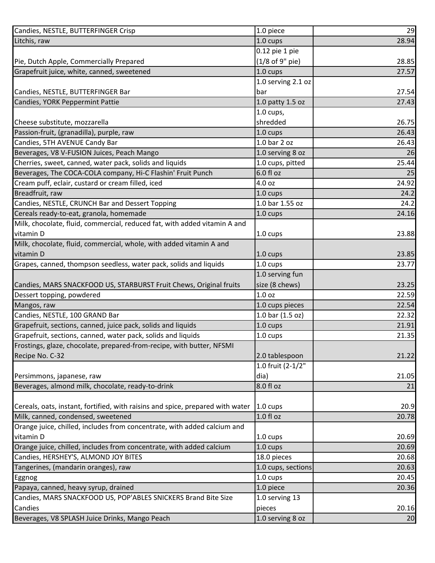| Candies, NESTLE, BUTTERFINGER Crisp                                            | 1.0 piece          | 29    |
|--------------------------------------------------------------------------------|--------------------|-------|
| Litchis, raw                                                                   | 1.0 cups           | 28.94 |
|                                                                                | 0.12 pie 1 pie     |       |
| Pie, Dutch Apple, Commercially Prepared                                        | (1/8 of 9" pie)    | 28.85 |
| Grapefruit juice, white, canned, sweetened                                     | $1.0 \text{ cups}$ | 27.57 |
|                                                                                | 1.0 serving 2.1 oz |       |
| Candies, NESTLE, BUTTERFINGER Bar                                              | bar                | 27.54 |
| Candies, YORK Peppermint Pattie                                                | 1.0 patty 1.5 oz   | 27.43 |
|                                                                                | $1.0 \text{ cups}$ |       |
| Cheese substitute, mozzarella                                                  | shredded           | 26.75 |
| Passion-fruit, (granadilla), purple, raw                                       | 1.0 cups           | 26.43 |
| Candies, 5TH AVENUE Candy Bar                                                  | 1.0 bar 2 oz       | 26.43 |
| Beverages, V8 V-FUSION Juices, Peach Mango                                     | 1.0 serving 8 oz   | 26    |
| Cherries, sweet, canned, water pack, solids and liquids                        | 1.0 cups, pitted   | 25.44 |
| Beverages, The COCA-COLA company, Hi-C Flashin' Fruit Punch                    | 6.0 fl oz          | 25    |
| Cream puff, eclair, custard or cream filled, iced                              | 4.0 oz             | 24.92 |
| Breadfruit, raw                                                                | 1.0 cups           | 24.2  |
| Candies, NESTLE, CRUNCH Bar and Dessert Topping                                | 1.0 bar 1.55 oz    | 24.2  |
| Cereals ready-to-eat, granola, homemade                                        | 1.0 cups           | 24.16 |
| Milk, chocolate, fluid, commercial, reduced fat, with added vitamin A and      |                    |       |
| vitamin D                                                                      | 1.0 cups           | 23.88 |
| Milk, chocolate, fluid, commercial, whole, with added vitamin A and            |                    |       |
| vitamin D                                                                      | 1.0 cups           | 23.85 |
| Grapes, canned, thompson seedless, water pack, solids and liquids              | 1.0 cups           | 23.77 |
|                                                                                | 1.0 serving fun    |       |
| Candies, MARS SNACKFOOD US, STARBURST Fruit Chews, Original fruits             | size (8 chews)     | 23.25 |
| Dessert topping, powdered                                                      | 1.0 oz             | 22.59 |
| Mangos, raw                                                                    | 1.0 cups pieces    | 22.54 |
| Candies, NESTLE, 100 GRAND Bar                                                 | 1.0 bar (1.5 oz)   | 22.32 |
| Grapefruit, sections, canned, juice pack, solids and liquids                   | 1.0 cups           | 21.91 |
| Grapefruit, sections, canned, water pack, solids and liquids                   | 1.0 cups           | 21.35 |
| Frostings, glaze, chocolate, prepared-from-recipe, with butter, NFSMI          |                    |       |
| Recipe No. C-32                                                                | 2.0 tablespoon     | 21.22 |
|                                                                                | 1.0 fruit (2-1/2"  |       |
| Persimmons, japanese, raw                                                      | dia)               | 21.05 |
| Beverages, almond milk, chocolate, ready-to-drink                              | 8.0 fl oz          | 21    |
|                                                                                |                    |       |
| Cereals, oats, instant, fortified, with raisins and spice, prepared with water | $1.0 \text{ cups}$ | 20.9  |
| Milk, canned, condensed, sweetened                                             | 1.0 fl oz          | 20.78 |
| Orange juice, chilled, includes from concentrate, with added calcium and       |                    |       |
| vitamin D                                                                      | 1.0 cups           | 20.69 |
| Orange juice, chilled, includes from concentrate, with added calcium           | 1.0 cups           | 20.69 |
| Candies, HERSHEY'S, ALMOND JOY BITES                                           | 18.0 pieces        | 20.68 |
| Tangerines, (mandarin oranges), raw                                            | 1.0 cups, sections | 20.63 |
| <b>Eggnog</b>                                                                  | 1.0 cups           | 20.45 |
| Papaya, canned, heavy syrup, drained                                           | 1.0 piece          | 20.36 |
| Candies, MARS SNACKFOOD US, POP'ABLES SNICKERS Brand Bite Size                 | 1.0 serving 13     |       |
| Candies                                                                        | pieces             | 20.16 |
| Beverages, V8 SPLASH Juice Drinks, Mango Peach                                 | 1.0 serving 8 oz   | 20    |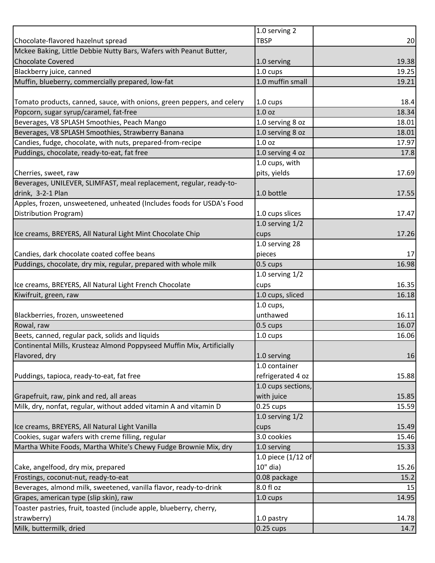|                                                                        | 1.0 serving 2       |                |
|------------------------------------------------------------------------|---------------------|----------------|
| Chocolate-flavored hazelnut spread                                     | <b>TBSP</b>         | 20             |
| Mckee Baking, Little Debbie Nutty Bars, Wafers with Peanut Butter,     |                     |                |
| <b>Chocolate Covered</b>                                               | 1.0 serving         | 19.38          |
| Blackberry juice, canned                                               | 1.0 cups            | 19.25          |
| Muffin, blueberry, commercially prepared, low-fat                      | 1.0 muffin small    | 19.21          |
|                                                                        |                     |                |
| Tomato products, canned, sauce, with onions, green peppers, and celery | $1.0 \text{ cups}$  | 18.4           |
| Popcorn, sugar syrup/caramel, fat-free                                 | 1.0 <sub>oz</sub>   | 18.34          |
| Beverages, V8 SPLASH Smoothies, Peach Mango                            | 1.0 serving 8 oz    | 18.01          |
| Beverages, V8 SPLASH Smoothies, Strawberry Banana                      | 1.0 serving 8 oz    | 18.01          |
| Candies, fudge, chocolate, with nuts, prepared-from-recipe             | 1.0 <sub>oz</sub>   | 17.97          |
| Puddings, chocolate, ready-to-eat, fat free                            | 1.0 serving 4 oz    | 17.8           |
|                                                                        | 1.0 cups, with      |                |
| Cherries, sweet, raw                                                   | pits, yields        | 17.69          |
| Beverages, UNILEVER, SLIMFAST, meal replacement, regular, ready-to-    |                     |                |
| drink, 3-2-1 Plan                                                      | 1.0 bottle          | 17.55          |
| Apples, frozen, unsweetened, unheated (Includes foods for USDA's Food  |                     |                |
| Distribution Program)                                                  | 1.0 cups slices     | 17.47          |
|                                                                        | 1.0 serving $1/2$   |                |
| Ice creams, BREYERS, All Natural Light Mint Chocolate Chip             | cups                | 17.26          |
|                                                                        | 1.0 serving 28      |                |
| Candies, dark chocolate coated coffee beans                            | pieces              | 17             |
| Puddings, chocolate, dry mix, regular, prepared with whole milk        | $0.5 \text{ cups}$  | 16.98          |
|                                                                        | 1.0 serving $1/2$   |                |
| Ice creams, BREYERS, All Natural Light French Chocolate                | cups                | 16.35          |
| Kiwifruit, green, raw                                                  | 1.0 cups, sliced    | 16.18          |
|                                                                        | $1.0$ cups,         |                |
|                                                                        | unthawed            |                |
| Blackberries, frozen, unsweetened<br>Rowal, raw                        | 0.5 cups            | 16.11<br>16.07 |
|                                                                        |                     |                |
| Beets, canned, regular pack, solids and liquids                        | 1.0 cups            | 16.06          |
| Continental Mills, Krusteaz Almond Poppyseed Muffin Mix, Artificially  |                     |                |
| Flavored, dry                                                          | 1.0 serving         | 16             |
|                                                                        | 1.0 container       |                |
| Puddings, tapioca, ready-to-eat, fat free                              | refrigerated 4 oz   | 15.88          |
|                                                                        | 1.0 cups sections,  |                |
| Grapefruit, raw, pink and red, all areas                               | with juice          | 15.85          |
| Milk, dry, nonfat, regular, without added vitamin A and vitamin D      | $0.25 \text{ cups}$ | 15.59          |
|                                                                        | 1.0 serving $1/2$   |                |
| Ice creams, BREYERS, All Natural Light Vanilla                         | cups                | 15.49          |
| Cookies, sugar wafers with creme filling, regular                      | 3.0 cookies         | 15.46          |
| Martha White Foods, Martha White's Chewy Fudge Brownie Mix, dry        | 1.0 serving         | 15.33          |
|                                                                        | 1.0 piece (1/12 of  |                |
| Cake, angelfood, dry mix, prepared                                     | 10" dia)            | 15.26          |
| Frostings, coconut-nut, ready-to-eat                                   | 0.08 package        | 15.2           |
| Beverages, almond milk, sweetened, vanilla flavor, ready-to-drink      | 8.0 fl oz           | 15             |
| Grapes, american type (slip skin), raw                                 | 1.0 cups            | 14.95          |
| Toaster pastries, fruit, toasted (include apple, blueberry, cherry,    |                     |                |
| strawberry)                                                            | 1.0 pastry          | 14.78          |
| Milk, buttermilk, dried                                                | $0.25 \text{ cups}$ | 14.7           |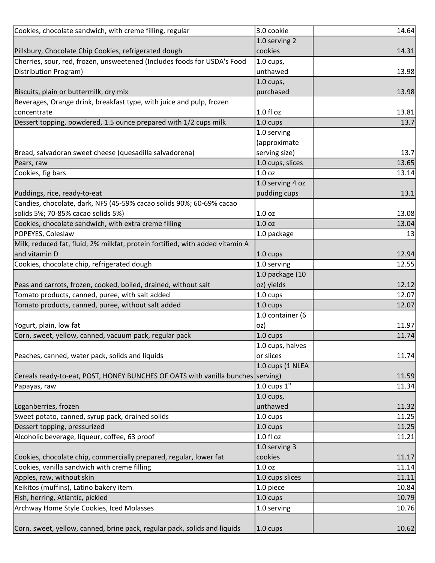| Cookies, chocolate sandwich, with creme filling, regular                        | 3.0 cookie              | 14.64 |
|---------------------------------------------------------------------------------|-------------------------|-------|
|                                                                                 | 1.0 serving 2           |       |
| Pillsbury, Chocolate Chip Cookies, refrigerated dough                           | cookies                 | 14.31 |
| Cherries, sour, red, frozen, unsweetened (Includes foods for USDA's Food        | 1.0 cups,               |       |
| Distribution Program)                                                           | unthawed                | 13.98 |
|                                                                                 | $1.0$ cups,             |       |
| Biscuits, plain or buttermilk, dry mix                                          | purchased               | 13.98 |
| Beverages, Orange drink, breakfast type, with juice and pulp, frozen            |                         |       |
| concentrate                                                                     | $1.0 f$ l oz            | 13.81 |
| Dessert topping, powdered, 1.5 ounce prepared with 1/2 cups milk                | $1.0 \text{ cups}$      | 13.7  |
|                                                                                 | 1.0 serving             |       |
|                                                                                 | (approximate            |       |
| Bread, salvadoran sweet cheese (quesadilla salvadorena)                         | serving size)           | 13.7  |
| Pears, raw                                                                      | 1.0 cups, slices        | 13.65 |
| Cookies, fig bars                                                               | 1.0 <sub>oz</sub>       | 13.14 |
|                                                                                 | 1.0 serving 4 oz        |       |
| Puddings, rice, ready-to-eat                                                    | pudding cups            | 13.1  |
| Candies, chocolate, dark, NFS (45-59% cacao solids 90%; 60-69% cacao            |                         |       |
| solids 5%; 70-85% cacao solids 5%)                                              | 1.0 <sub>oz</sub>       | 13.08 |
| Cookies, chocolate sandwich, with extra creme filling                           | 1.0 <sub>oz</sub>       | 13.04 |
| POPEYES, Coleslaw                                                               | 1.0 package             | 13    |
| Milk, reduced fat, fluid, 2% milkfat, protein fortified, with added vitamin A   |                         |       |
| and vitamin D                                                                   | 1.0 cups                | 12.94 |
| Cookies, chocolate chip, refrigerated dough                                     | 1.0 serving             | 12.55 |
|                                                                                 | 1.0 package (10         |       |
| Peas and carrots, frozen, cooked, boiled, drained, without salt                 | oz) yields              | 12.12 |
| Tomato products, canned, puree, with salt added                                 | 1.0 cups                | 12.07 |
| Tomato products, canned, puree, without salt added                              | 1.0 cups                | 12.07 |
|                                                                                 | 1.0 container (6        |       |
| Yogurt, plain, low fat                                                          | oz)                     | 11.97 |
| Corn, sweet, yellow, canned, vacuum pack, regular pack                          | 1.0 cups                | 11.74 |
|                                                                                 | 1.0 cups, halves        |       |
| Peaches, canned, water pack, solids and liquids                                 | or slices               | 11.74 |
|                                                                                 | 1.0 cups (1 NLEA        |       |
| Cereals ready-to-eat, POST, HONEY BUNCHES OF OATS with vanilla bunches serving) |                         | 11.59 |
| Papayas, raw                                                                    | $1.0 \text{ cups } 1$ " | 11.34 |
|                                                                                 | $1.0$ cups,             |       |
| Loganberries, frozen                                                            | unthawed                | 11.32 |
| Sweet potato, canned, syrup pack, drained solids                                | 1.0 cups                | 11.25 |
| Dessert topping, pressurized                                                    | 1.0 cups                | 11.25 |
| Alcoholic beverage, liqueur, coffee, 63 proof                                   | $1.0 f$ l oz            | 11.21 |
|                                                                                 | 1.0 serving 3           |       |
| Cookies, chocolate chip, commercially prepared, regular, lower fat              | cookies                 | 11.17 |
| Cookies, vanilla sandwich with creme filling                                    | 1.0 <sub>oz</sub>       | 11.14 |
| Apples, raw, without skin                                                       | 1.0 cups slices         | 11.11 |
| Keikitos (muffins), Latino bakery item                                          | 1.0 piece               | 10.84 |
| Fish, herring, Atlantic, pickled                                                | 1.0 cups                | 10.79 |
| Archway Home Style Cookies, Iced Molasses                                       | 1.0 serving             | 10.76 |
|                                                                                 |                         |       |
| Corn, sweet, yellow, canned, brine pack, regular pack, solids and liquids       | 1.0 cups                | 10.62 |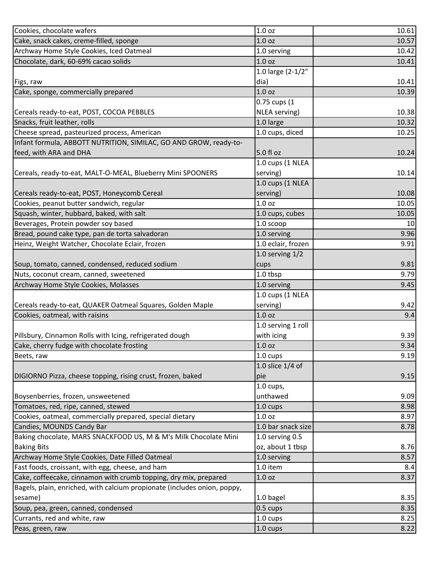| Cookies, chocolate wafers                                                | 1.0 <sub>oz</sub>  | 10.61        |
|--------------------------------------------------------------------------|--------------------|--------------|
| Cake, snack cakes, creme-filled, sponge                                  | 1.0 <sub>oz</sub>  | 10.57        |
| Archway Home Style Cookies, Iced Oatmeal                                 | 1.0 serving        | 10.42        |
| Chocolate, dark, 60-69% cacao solids                                     | 1.0 <sub>oz</sub>  | 10.41        |
|                                                                          | 1.0 large (2-1/2"  |              |
| Figs, raw                                                                | dia)               | 10.41        |
| Cake, sponge, commercially prepared                                      | 1.0 <sub>oz</sub>  | 10.39        |
|                                                                          | 0.75 cups (1       |              |
| Cereals ready-to-eat, POST, COCOA PEBBLES                                | NLEA serving)      | 10.38        |
| Snacks, fruit leather, rolls                                             | 1.0 large          | 10.32        |
| Cheese spread, pasteurized process, American                             | 1.0 cups, diced    | 10.25        |
| Infant formula, ABBOTT NUTRITION, SIMILAC, GO AND GROW, ready-to-        |                    |              |
| feed, with ARA and DHA                                                   | 5.0 fl oz          | 10.24        |
|                                                                          | 1.0 cups (1 NLEA   |              |
| Cereals, ready-to-eat, MALT-O-MEAL, Blueberry Mini SPOONERS              | serving)           | 10.14        |
|                                                                          | 1.0 cups (1 NLEA   |              |
| Cereals ready-to-eat, POST, Honeycomb Cereal                             | serving)           | 10.08        |
| Cookies, peanut butter sandwich, regular                                 | 1.0 <sub>oz</sub>  | 10.05        |
| Squash, winter, hubbard, baked, with salt                                | 1.0 cups, cubes    | 10.05        |
| Beverages, Protein powder soy based                                      | 1.0 scoop          | 10           |
| Bread, pound cake type, pan de torta salvadoran                          | 1.0 serving        | 9.96         |
| Heinz, Weight Watcher, Chocolate Eclair, frozen                          | 1.0 eclair, frozen | 9.91         |
|                                                                          | 1.0 serving $1/2$  |              |
| Soup, tomato, canned, condensed, reduced sodium                          | cups               | 9.81         |
| Nuts, coconut cream, canned, sweetened                                   | 1.0 tbsp           | 9.79         |
|                                                                          |                    |              |
| Archway Home Style Cookies, Molasses                                     | 1.0 serving        | 9.45         |
|                                                                          | 1.0 cups (1 NLEA   |              |
| Cereals ready-to-eat, QUAKER Oatmeal Squares, Golden Maple               | serving)           | 9.42         |
| Cookies, oatmeal, with raisins                                           | 1.0 <sub>oz</sub>  | 9.4          |
|                                                                          | 1.0 serving 1 roll |              |
| Pillsbury, Cinnamon Rolls with Icing, refrigerated dough                 | with icing         | 9.39         |
| Cake, cherry fudge with chocolate frosting                               | 1.0 <sub>oz</sub>  | 9.34         |
| Beets, raw                                                               | 1.0 cups           |              |
|                                                                          | 1.0 slice 1/4 of   |              |
| DIGIORNO Pizza, cheese topping, rising crust, frozen, baked              | pie                | 9.15         |
|                                                                          | $1.0$ cups,        | 9.19         |
| Boysenberries, frozen, unsweetened                                       | unthawed           | 9.09         |
| Tomatoes, red, ripe, canned, stewed                                      | 1.0 cups           | 8.98         |
| Cookies, oatmeal, commercially prepared, special dietary                 | 1.0 oz             | 8.97         |
| Candies, MOUNDS Candy Bar                                                | 1.0 bar snack size | 8.78         |
| Baking chocolate, MARS SNACKFOOD US, M & M's Milk Chocolate Mini         | 1.0 serving 0.5    |              |
| <b>Baking Bits</b>                                                       | oz, about 1 tbsp   |              |
| Archway Home Style Cookies, Date Filled Oatmeal                          | 1.0 serving        | 8.57         |
| Fast foods, croissant, with egg, cheese, and ham                         | 1.0 item           | 8.4          |
| Cake, coffeecake, cinnamon with crumb topping, dry mix, prepared         | 1.0 <sub>oz</sub>  | 8.37         |
| Bagels, plain, enriched, with calcium propionate (includes onion, poppy, |                    |              |
| sesame)                                                                  | 1.0 bagel          | 8.76<br>8.35 |
| Soup, pea, green, canned, condensed                                      | 0.5 cups           | 8.35         |
| Currants, red and white, raw                                             | 1.0 cups           | 8.25         |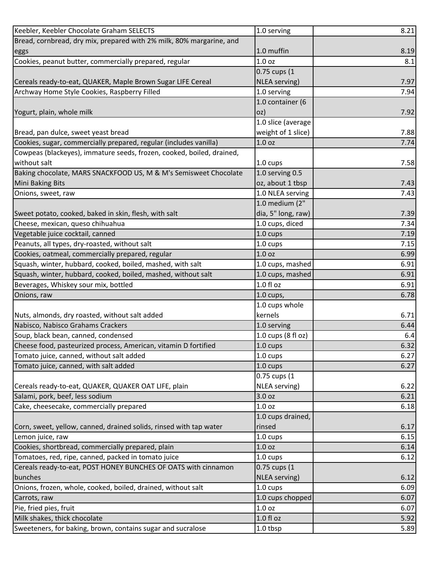| Keebler, Keebler Chocolate Graham SELECTS                             | 1.0 serving        | 8.21 |
|-----------------------------------------------------------------------|--------------------|------|
| Bread, cornbread, dry mix, prepared with 2% milk, 80% margarine, and  |                    |      |
| eggs                                                                  | 1.0 muffin         | 8.19 |
| Cookies, peanut butter, commercially prepared, regular                | 1.0 <sub>oz</sub>  | 8.1  |
|                                                                       | 0.75 cups (1       |      |
| Cereals ready-to-eat, QUAKER, Maple Brown Sugar LIFE Cereal           | NLEA serving)      | 7.97 |
| Archway Home Style Cookies, Raspberry Filled                          | 1.0 serving        | 7.94 |
|                                                                       | 1.0 container (6   |      |
| Yogurt, plain, whole milk                                             | oz)                | 7.92 |
|                                                                       | 1.0 slice (average |      |
| Bread, pan dulce, sweet yeast bread                                   | weight of 1 slice) | 7.88 |
| Cookies, sugar, commercially prepared, regular (includes vanilla)     | 1.0 <sub>oz</sub>  | 7.74 |
| Cowpeas (blackeyes), immature seeds, frozen, cooked, boiled, drained, |                    |      |
| without salt                                                          | $1.0 \text{ cups}$ | 7.58 |
| Baking chocolate, MARS SNACKFOOD US, M & M's Semisweet Chocolate      | 1.0 serving 0.5    |      |
| <b>Mini Baking Bits</b>                                               | oz, about 1 tbsp   | 7.43 |
| Onions, sweet, raw                                                    | 1.0 NLEA serving   | 7.43 |
|                                                                       | 1.0 medium (2"     |      |
| Sweet potato, cooked, baked in skin, flesh, with salt                 | dia, 5" long, raw) | 7.39 |
| Cheese, mexican, queso chihuahua                                      | 1.0 cups, diced    | 7.34 |
| Vegetable juice cocktail, canned                                      | 1.0 cups           | 7.19 |
| Peanuts, all types, dry-roasted, without salt                         | 1.0 cups           | 7.15 |
| Cookies, oatmeal, commercially prepared, regular                      | 1.0 oz             | 6.99 |
| Squash, winter, hubbard, cooked, boiled, mashed, with salt            | 1.0 cups, mashed   | 6.91 |
| Squash, winter, hubbard, cooked, boiled, mashed, without salt         | 1.0 cups, mashed   | 6.91 |
| Beverages, Whiskey sour mix, bottled                                  | 1.0 fl oz          | 6.91 |
| Onions, raw                                                           | $1.0$ cups,        | 6.78 |
|                                                                       | 1.0 cups whole     |      |
| Nuts, almonds, dry roasted, without salt added                        | kernels            | 6.71 |
| Nabisco, Nabisco Grahams Crackers                                     | 1.0 serving        | 6.44 |
| Soup, black bean, canned, condensed                                   | 1.0 cups (8 fl oz) | 6.4  |
| Cheese food, pasteurized process, American, vitamin D fortified       | $1.0 \text{ cups}$ | 6.32 |
| Tomato juice, canned, without salt added                              | $1.0 \text{ cups}$ | 6.27 |
| Tomato juice, canned, with salt added                                 | $1.0 \text{ cups}$ | 6.27 |
|                                                                       | 0.75 cups (1       |      |
| Cereals ready-to-eat, QUAKER, QUAKER OAT LIFE, plain                  | NLEA serving)      | 6.22 |
| Salami, pork, beef, less sodium                                       | 3.0 oz             | 6.21 |
| Cake, cheesecake, commercially prepared                               | 1.0 oz             | 6.18 |
|                                                                       | 1.0 cups drained,  |      |
| Corn, sweet, yellow, canned, drained solids, rinsed with tap water    | rinsed             | 6.17 |
| Lemon juice, raw                                                      | 1.0 cups           | 6.15 |
| Cookies, shortbread, commercially prepared, plain                     | 1.0 <sub>oz</sub>  | 6.14 |
| Tomatoes, red, ripe, canned, packed in tomato juice                   | 1.0 cups           | 6.12 |
| Cereals ready-to-eat, POST HONEY BUNCHES OF OATS with cinnamon        | 0.75 cups (1       |      |
| bunches                                                               |                    | 6.12 |
|                                                                       | NLEA serving)      |      |
| Onions, frozen, whole, cooked, boiled, drained, without salt          | 1.0 cups           | 6.09 |
| Carrots, raw                                                          | 1.0 cups chopped   | 6.07 |
| Pie, fried pies, fruit                                                | 1.0 oz             | 6.07 |
| Milk shakes, thick chocolate                                          | 1.0 fl oz          | 5.92 |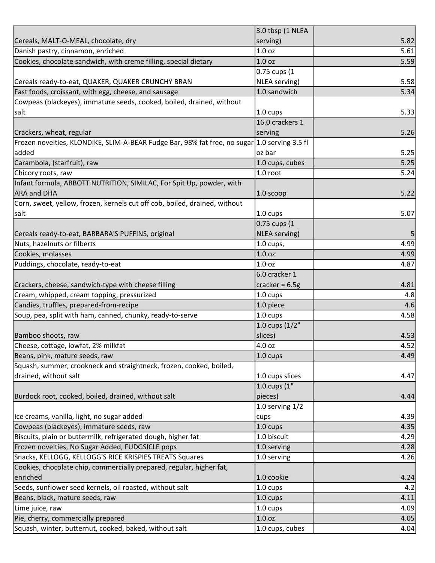|                                                                                              | 3.0 tbsp (1 NLEA  |      |
|----------------------------------------------------------------------------------------------|-------------------|------|
| Cereals, MALT-O-MEAL, chocolate, dry                                                         | serving)          | 5.82 |
| Danish pastry, cinnamon, enriched                                                            | 1.0 <sub>oz</sub> | 5.61 |
| Cookies, chocolate sandwich, with creme filling, special dietary                             | 1.0 <sub>oz</sub> | 5.59 |
|                                                                                              | 0.75 cups (1      |      |
| Cereals ready-to-eat, QUAKER, QUAKER CRUNCHY BRAN                                            | NLEA serving)     | 5.58 |
| Fast foods, croissant, with egg, cheese, and sausage                                         | 1.0 sandwich      | 5.34 |
| Cowpeas (blackeyes), immature seeds, cooked, boiled, drained, without                        |                   |      |
| salt                                                                                         | 1.0 cups          | 5.33 |
|                                                                                              | 16.0 crackers 1   |      |
| Crackers, wheat, regular                                                                     | serving           | 5.26 |
| Frozen novelties, KLONDIKE, SLIM-A-BEAR Fudge Bar, 98% fat free, no sugar 1.0 serving 3.5 fl |                   |      |
| added                                                                                        | oz bar            | 5.25 |
| Carambola, (starfruit), raw                                                                  | 1.0 cups, cubes   | 5.25 |
| Chicory roots, raw                                                                           | 1.0 root          | 5.24 |
| Infant formula, ABBOTT NUTRITION, SIMILAC, For Spit Up, powder, with                         |                   |      |
| <b>ARA and DHA</b>                                                                           | 1.0 scoop         | 5.22 |
| Corn, sweet, yellow, frozen, kernels cut off cob, boiled, drained, without                   |                   |      |
| salt                                                                                         | 1.0 cups          | 5.07 |
|                                                                                              | 0.75 cups (1      |      |
| Cereals ready-to-eat, BARBARA'S PUFFINS, original                                            | NLEA serving)     | 5    |
| Nuts, hazelnuts or filberts                                                                  | 1.0 cups,         | 4.99 |
| Cookies, molasses                                                                            | 1.0 oz            | 4.99 |
| Puddings, chocolate, ready-to-eat                                                            | 1.0 <sub>oz</sub> | 4.87 |
|                                                                                              | 6.0 cracker 1     |      |
| Crackers, cheese, sandwich-type with cheese filling                                          | cracker = $6.5g$  | 4.81 |
| Cream, whipped, cream topping, pressurized                                                   | 1.0 cups          | 4.8  |
| Candies, truffles, prepared-from-recipe                                                      | 1.0 piece         | 4.6  |
| Soup, pea, split with ham, canned, chunky, ready-to-serve                                    | 1.0 cups          | 4.58 |
|                                                                                              | 1.0 cups (1/2"    |      |
| Bamboo shoots, raw                                                                           | slices)           | 4.53 |
| Cheese, cottage, lowfat, 2% milkfat                                                          | 4.0 oz            | 4.52 |
| Beans, pink, mature seeds, raw                                                               | 1.0 cups          | 4.49 |
| Squash, summer, crookneck and straightneck, frozen, cooked, boiled,                          |                   |      |
| drained, without salt                                                                        | 1.0 cups slices   | 4.47 |
|                                                                                              | 1.0 cups (1"      |      |
| Burdock root, cooked, boiled, drained, without salt                                          | pieces)           | 4.44 |
|                                                                                              | 1.0 serving $1/2$ |      |
| Ice creams, vanilla, light, no sugar added                                                   | cups              | 4.39 |
| Cowpeas (blackeyes), immature seeds, raw                                                     | 1.0 cups          | 4.35 |
| Biscuits, plain or buttermilk, refrigerated dough, higher fat                                | 1.0 biscuit       | 4.29 |
| Frozen novelties, No Sugar Added, FUDGSICLE pops                                             | 1.0 serving       | 4.28 |
| Snacks, KELLOGG, KELLOGG'S RICE KRISPIES TREATS Squares                                      | 1.0 serving       | 4.26 |
| Cookies, chocolate chip, commercially prepared, regular, higher fat,                         |                   |      |
| enriched                                                                                     | 1.0 cookie        | 4.24 |
| Seeds, sunflower seed kernels, oil roasted, without salt                                     | 1.0 cups          | 4.2  |
| Beans, black, mature seeds, raw                                                              | 1.0 cups          | 4.11 |
| Lime juice, raw                                                                              | 1.0 cups          | 4.09 |
| Pie, cherry, commercially prepared                                                           | 1.0 oz            | 4.05 |
| Squash, winter, butternut, cooked, baked, without salt                                       | 1.0 cups, cubes   | 4.04 |
|                                                                                              |                   |      |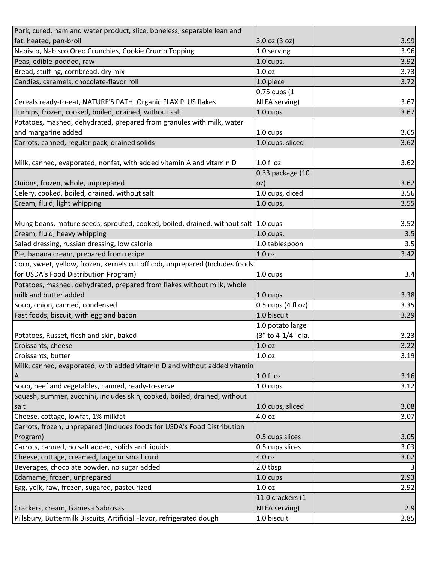| Pork, cured, ham and water product, slice, boneless, separable lean and              |                      |                   |
|--------------------------------------------------------------------------------------|----------------------|-------------------|
| fat, heated, pan-broil                                                               | $3.0$ oz $(3$ oz)    | 3.99              |
| Nabisco, Nabisco Oreo Crunchies, Cookie Crumb Topping                                | 1.0 serving          | 3.96              |
| Peas, edible-podded, raw                                                             | 1.0 cups,            | 3.92              |
| Bread, stuffing, cornbread, dry mix                                                  | 1.0 <sub>oz</sub>    | 3.73              |
| Candies, caramels, chocolate-flavor roll                                             | 1.0 piece            | 3.72              |
|                                                                                      | 0.75 cups (1         |                   |
| Cereals ready-to-eat, NATURE'S PATH, Organic FLAX PLUS flakes                        | NLEA serving)        | 3.67              |
| Turnips, frozen, cooked, boiled, drained, without salt                               | 1.0 cups             | 3.67              |
| Potatoes, mashed, dehydrated, prepared from granules with milk, water                |                      |                   |
| and margarine added                                                                  | 1.0 cups             | 3.65              |
| Carrots, canned, regular pack, drained solids                                        | 1.0 cups, sliced     | 3.62              |
|                                                                                      |                      |                   |
| Milk, canned, evaporated, nonfat, with added vitamin A and vitamin D                 | 1.0 fl oz            | 3.62              |
|                                                                                      | 0.33 package (10     |                   |
| Onions, frozen, whole, unprepared                                                    | oz)                  | 3.62              |
| Celery, cooked, boiled, drained, without salt                                        | 1.0 cups, diced      | 3.56              |
| Cream, fluid, light whipping                                                         | 1.0 cups,            | 3.55              |
|                                                                                      |                      |                   |
| Mung beans, mature seeds, sprouted, cooked, boiled, drained, without salt   1.0 cups |                      | 3.52              |
| Cream, fluid, heavy whipping                                                         | $1.0$ cups,          | 3.5               |
| Salad dressing, russian dressing, low calorie                                        | 1.0 tablespoon       | 3.5               |
| Pie, banana cream, prepared from recipe                                              | 1.0 oz               | 3.42              |
| Corn, sweet, yellow, frozen, kernels cut off cob, unprepared (Includes foods         |                      |                   |
| for USDA's Food Distribution Program)                                                | 1.0 cups             | 3.4               |
| Potatoes, mashed, dehydrated, prepared from flakes without milk, whole               |                      |                   |
| milk and butter added                                                                | 1.0 cups             | 3.38              |
| Soup, onion, canned, condensed                                                       | $0.5$ cups (4 fl oz) | 3.35              |
| Fast foods, biscuit, with egg and bacon                                              | 1.0 biscuit          | 3.29              |
|                                                                                      | 1.0 potato large     |                   |
| Potatoes, Russet, flesh and skin, baked                                              | (3" to 4-1/4" dia.   | 3.23              |
| Croissants, cheese                                                                   | 1.0 <sub>oz</sub>    | 3.22              |
| Croissants, butter                                                                   | 1.0 <sub>oz</sub>    | 3.19              |
| Milk, canned, evaporated, with added vitamin D and without added vitamin             |                      |                   |
| ΙA                                                                                   | 1.0 fl oz            | 3.16              |
| Soup, beef and vegetables, canned, ready-to-serve                                    | $1.0 \text{ cups}$   | 3.12              |
| Squash, summer, zucchini, includes skin, cooked, boiled, drained, without            |                      |                   |
| salt                                                                                 | 1.0 cups, sliced     | 3.08              |
| Cheese, cottage, lowfat, 1% milkfat                                                  | 4.0 oz               | 3.07              |
| Carrots, frozen, unprepared (Includes foods for USDA's Food Distribution             |                      |                   |
| Program)                                                                             | 0.5 cups slices      | 3.05              |
| Carrots, canned, no salt added, solids and liquids                                   | 0.5 cups slices      | 3.03              |
| Cheese, cottage, creamed, large or small curd                                        | 4.0 oz               | 3.02              |
| Beverages, chocolate powder, no sugar added                                          | 2.0 tbsp             |                   |
| Edamame, frozen, unprepared                                                          | 1.0 cups             | 2.93              |
| Egg, yolk, raw, frozen, sugared, pasteurized                                         | 1.0 <sub>oz</sub>    | 2.92              |
|                                                                                      | 11.0 crackers (1     |                   |
| Crackers, cream, Gamesa Sabrosas                                                     | NLEA serving)        | 2.9               |
| Pillsbury, Buttermilk Biscuits, Artificial Flavor, refrigerated dough                | 1.0 biscuit          | $\overline{2.85}$ |
|                                                                                      |                      |                   |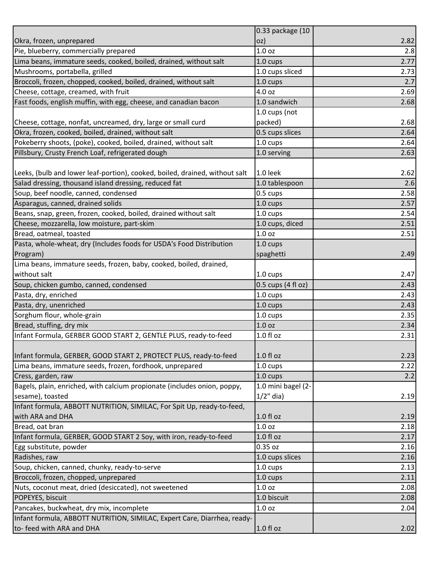|                                                                                                       | 0.33 package (10               |                                                      |
|-------------------------------------------------------------------------------------------------------|--------------------------------|------------------------------------------------------|
| Okra, frozen, unprepared                                                                              | oz)                            | 2.82                                                 |
| Pie, blueberry, commercially prepared                                                                 | 1.0 <sub>oz</sub>              | 2.8                                                  |
| Lima beans, immature seeds, cooked, boiled, drained, without salt                                     | $1.0 \text{ cups}$             | 2.77                                                 |
| Mushrooms, portabella, grilled                                                                        | 1.0 cups sliced                | 2.73                                                 |
| Broccoli, frozen, chopped, cooked, boiled, drained, without salt                                      | 1.0 cups                       | 2.7                                                  |
| Cheese, cottage, creamed, with fruit                                                                  | 4.0 oz                         | 2.69                                                 |
| Fast foods, english muffin, with egg, cheese, and canadian bacon                                      | 1.0 sandwich                   | 2.68                                                 |
|                                                                                                       | 1.0 cups (not                  |                                                      |
| Cheese, cottage, nonfat, uncreamed, dry, large or small curd                                          | packed)                        | 2.68                                                 |
| Okra, frozen, cooked, boiled, drained, without salt                                                   | 0.5 cups slices                | 2.64                                                 |
| Pokeberry shoots, (poke), cooked, boiled, drained, without salt                                       | 1.0 cups                       | 2.64                                                 |
| Pillsbury, Crusty French Loaf, refrigerated dough                                                     | 1.0 serving                    | 2.63                                                 |
|                                                                                                       |                                |                                                      |
| Leeks, (bulb and lower leaf-portion), cooked, boiled, drained, without salt                           | 1.0 leek                       | 2.62                                                 |
| Salad dressing, thousand island dressing, reduced fat                                                 | 1.0 tablespoon                 | 2.6                                                  |
| Soup, beef noodle, canned, condensed                                                                  | $0.5 \text{ cups}$             | 2.58                                                 |
| Asparagus, canned, drained solids                                                                     | 1.0 cups                       | 2.57                                                 |
| Beans, snap, green, frozen, cooked, boiled, drained without salt                                      | 1.0 cups                       | 2.54                                                 |
| Cheese, mozzarella, low moisture, part-skim                                                           | 1.0 cups, diced                | 2.51                                                 |
| Bread, oatmeal, toasted                                                                               | 1.0 <sub>oz</sub>              | 2.51                                                 |
| Pasta, whole-wheat, dry (Includes foods for USDA's Food Distribution                                  | 1.0 cups                       |                                                      |
| Program)                                                                                              | spaghetti                      | 2.49                                                 |
| Lima beans, immature seeds, frozen, baby, cooked, boiled, drained,                                    |                                |                                                      |
| without salt                                                                                          | 1.0 cups                       | 2.47                                                 |
| Soup, chicken gumbo, canned, condensed                                                                | $0.5$ cups $(4 \text{ fl oz})$ | 2.43                                                 |
|                                                                                                       | 1.0 cups                       | 2.43                                                 |
|                                                                                                       |                                |                                                      |
| Pasta, dry, enriched                                                                                  |                                |                                                      |
| Pasta, dry, unenriched                                                                                | 1.0 cups                       | 2.43                                                 |
| Sorghum flour, whole-grain                                                                            | 1.0 cups                       | 2.35                                                 |
| Bread, stuffing, dry mix                                                                              | 1.0 <sub>oz</sub>              |                                                      |
| Infant Formula, GERBER GOOD START 2, GENTLE PLUS, ready-to-feed                                       | 1.0 f1 oz                      |                                                      |
|                                                                                                       |                                |                                                      |
| Infant formula, GERBER, GOOD START 2, PROTECT PLUS, ready-to-feed                                     | $1.0 f$ l oz                   |                                                      |
| Lima beans, immature seeds, frozen, fordhook, unprepared                                              | 1.0 cups                       | 2.22                                                 |
| Cress, garden, raw                                                                                    | 1.0 cups                       | 2.2                                                  |
| Bagels, plain, enriched, with calcium propionate (includes onion, poppy,                              | 1.0 mini bagel (2-             |                                                      |
| sesame), toasted                                                                                      | $1/2$ " dia)                   |                                                      |
| Infant formula, ABBOTT NUTRITION, SIMILAC, For Spit Up, ready-to-feed,                                |                                |                                                      |
| with ARA and DHA                                                                                      | $1.0 f$ l oz                   |                                                      |
| Bread, oat bran                                                                                       | 1.0 <sub>oz</sub>              |                                                      |
| Infant formula, GERBER, GOOD START 2 Soy, with iron, ready-to-feed                                    | 1.0 fl oz                      | 2.17                                                 |
| Egg substitute, powder                                                                                | 0.35 oz                        | 2.16                                                 |
| Radishes, raw                                                                                         | 1.0 cups slices                | 2.16                                                 |
| Soup, chicken, canned, chunky, ready-to-serve                                                         | 1.0 cups                       | 2.13                                                 |
|                                                                                                       | 1.0 cups                       | 2.11                                                 |
| Broccoli, frozen, chopped, unprepared<br>Nuts, coconut meat, dried (desiccated), not sweetened        | 1.0 <sub>oz</sub>              | 2.08                                                 |
| POPEYES, biscuit                                                                                      | 1.0 biscuit                    | 2.08                                                 |
| Pancakes, buckwheat, dry mix, incomplete                                                              | 1.0 <sub>oz</sub>              | 2.04                                                 |
| Infant formula, ABBOTT NUTRITION, SIMILAC, Expert Care, Diarrhea, ready-<br>to- feed with ARA and DHA | 1.0 fl oz                      | 2.34<br>2.31<br>2.23<br>2.19<br>2.19<br>2.18<br>2.02 |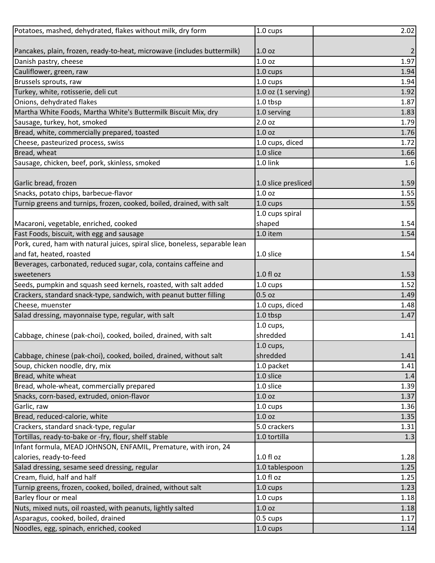| Potatoes, mashed, dehydrated, flakes without milk, dry form                  | 1.0 cups             | 2.02 |
|------------------------------------------------------------------------------|----------------------|------|
|                                                                              |                      |      |
| Pancakes, plain, frozen, ready-to-heat, microwave (includes buttermilk)      | 1.0 <sub>oz</sub>    |      |
| Danish pastry, cheese                                                        | 1.0 <sub>oz</sub>    | 1.97 |
| Cauliflower, green, raw                                                      | 1.0 cups             | 1.94 |
| Brussels sprouts, raw                                                        | 1.0 cups             | 1.94 |
| Turkey, white, rotisserie, deli cut                                          | $1.0$ oz (1 serving) | 1.92 |
| Onions, dehydrated flakes                                                    | 1.0 tbsp             | 1.87 |
| Martha White Foods, Martha White's Buttermilk Biscuit Mix, dry               | 1.0 serving          | 1.83 |
| Sausage, turkey, hot, smoked                                                 | 2.0 oz               | 1.79 |
| Bread, white, commercially prepared, toasted                                 | 1.0 <sub>oz</sub>    | 1.76 |
| Cheese, pasteurized process, swiss                                           | 1.0 cups, diced      | 1.72 |
| Bread, wheat                                                                 | 1.0 slice            | 1.66 |
| Sausage, chicken, beef, pork, skinless, smoked                               | 1.0 link             | 1.6  |
|                                                                              |                      |      |
| Garlic bread, frozen                                                         | 1.0 slice presliced  | 1.59 |
| Snacks, potato chips, barbecue-flavor                                        | 1.0 <sub>oz</sub>    | 1.55 |
| Turnip greens and turnips, frozen, cooked, boiled, drained, with salt        | 1.0 cups             | 1.55 |
|                                                                              | 1.0 cups spiral      |      |
| Macaroni, vegetable, enriched, cooked                                        | shaped               | 1.54 |
| Fast Foods, biscuit, with egg and sausage                                    | 1.0 item             | 1.54 |
| Pork, cured, ham with natural juices, spiral slice, boneless, separable lean |                      |      |
| and fat, heated, roasted                                                     | 1.0 slice            | 1.54 |
| Beverages, carbonated, reduced sugar, cola, contains caffeine and            |                      |      |
| sweeteners                                                                   | $1.0f$ l oz          | 1.53 |
| Seeds, pumpkin and squash seed kernels, roasted, with salt added             | 1.0 cups             | 1.52 |
| Crackers, standard snack-type, sandwich, with peanut butter filling          | $0.5$ oz             | 1.49 |
| Cheese, muenster                                                             | 1.0 cups, diced      | 1.48 |
| Salad dressing, mayonnaise type, regular, with salt                          | 1.0 tbsp             | 1.47 |
|                                                                              | $1.0$ cups,          |      |
| Cabbage, chinese (pak-choi), cooked, boiled, drained, with salt              | shredded             | 1.41 |
|                                                                              | $1.0$ cups,          |      |
| Cabbage, chinese (pak-choi), cooked, boiled, drained, without salt           | shredded             | 1.41 |
| Soup, chicken noodle, dry, mix                                               | 1.0 packet           | 1.41 |
| Bread, white wheat                                                           | 1.0 slice            | 1.4  |
| Bread, whole-wheat, commercially prepared                                    | 1.0 slice            | 1.39 |
| Snacks, corn-based, extruded, onion-flavor                                   | 1.0 <sub>oz</sub>    | 1.37 |
| Garlic, raw                                                                  | 1.0 cups             | 1.36 |
| Bread, reduced-calorie, white                                                | 1.0 <sub>oz</sub>    | 1.35 |
| Crackers, standard snack-type, regular                                       | 5.0 crackers         | 1.31 |
| Tortillas, ready-to-bake or -fry, flour, shelf stable                        | 1.0 tortilla         | 1.3  |
| Infant formula, MEAD JOHNSON, ENFAMIL, Premature, with iron, 24              |                      |      |
| calories, ready-to-feed                                                      | $1.0 f$ l oz         | 1.28 |
| Salad dressing, sesame seed dressing, regular                                | 1.0 tablespoon       | 1.25 |
| Cream, fluid, half and half                                                  | $1.0 f$ l oz         | 1.25 |
| Turnip greens, frozen, cooked, boiled, drained, without salt                 | 1.0 cups             | 1.23 |
| Barley flour or meal                                                         | 1.0 cups             | 1.18 |
| Nuts, mixed nuts, oil roasted, with peanuts, lightly salted                  | 1.0 oz               | 1.18 |
| Asparagus, cooked, boiled, drained                                           | 0.5 cups             | 1.17 |
| Noodles, egg, spinach, enriched, cooked                                      | 1.0 cups             | 1.14 |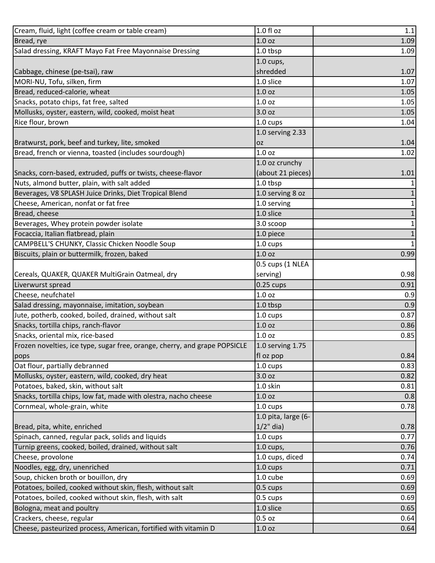| Cream, fluid, light (coffee cream or table cream)                          | 1.0 fl oz           | 1.1                                  |
|----------------------------------------------------------------------------|---------------------|--------------------------------------|
| Bread, rye                                                                 | 1.0 <sub>oz</sub>   | 1.09                                 |
| Salad dressing, KRAFT Mayo Fat Free Mayonnaise Dressing                    | 1.0 tbsp            | 1.09                                 |
|                                                                            | $1.0$ cups,         |                                      |
| Cabbage, chinese (pe-tsai), raw                                            | shredded            | 1.07                                 |
| MORI-NU, Tofu, silken, firm                                                | 1.0 slice           | 1.07                                 |
| Bread, reduced-calorie, wheat                                              | 1.0 <sub>oz</sub>   | 1.05                                 |
| Snacks, potato chips, fat free, salted                                     | 1.0 <sub>oz</sub>   | 1.05                                 |
| Mollusks, oyster, eastern, wild, cooked, moist heat                        | 3.0 oz              | 1.05                                 |
| Rice flour, brown                                                          | 1.0 cups            | 1.04                                 |
|                                                                            | 1.0 serving 2.33    |                                      |
| Bratwurst, pork, beef and turkey, lite, smoked                             | <b>OZ</b>           | 1.04                                 |
| Bread, french or vienna, toasted (includes sourdough)                      | 1.0 <sub>oz</sub>   | 1.02                                 |
|                                                                            | 1.0 oz crunchy      |                                      |
| Snacks, corn-based, extruded, puffs or twists, cheese-flavor               | (about 21 pieces)   | 1.01                                 |
| Nuts, almond butter, plain, with salt added                                | 1.0 tbsp            | $\mathbf{1}$                         |
| Beverages, V8 SPLASH Juice Drinks, Diet Tropical Blend                     | 1.0 serving 8 oz    | $\mathbf{1}$                         |
| Cheese, American, nonfat or fat free                                       | 1.0 serving         | $\mathbf{1}$                         |
| Bread, cheese                                                              | 1.0 slice           | $\mathbf 1$                          |
| Beverages, Whey protein powder isolate                                     | 3.0 scoop           | $\mathbf{1}$                         |
| Focaccia, Italian flatbread, plain                                         | 1.0 piece           | $\mathbf 1$                          |
| CAMPBELL'S CHUNKY, Classic Chicken Noodle Soup                             | 1.0 cups            | $1\vert$                             |
| Biscuits, plain or buttermilk, frozen, baked                               | 1.0 <sub>oz</sub>   | 0.99                                 |
|                                                                            | 0.5 cups (1 NLEA    |                                      |
| Cereals, QUAKER, QUAKER MultiGrain Oatmeal, dry                            | serving)            | 0.98                                 |
|                                                                            |                     |                                      |
| Liverwurst spread                                                          | $0.25 \text{ cups}$ | 0.91                                 |
| Cheese, neufchatel                                                         | 1.0 <sub>oz</sub>   | 0.9                                  |
| Salad dressing, mayonnaise, imitation, soybean                             | 1.0 tbsp            | 0.9                                  |
| Jute, potherb, cooked, boiled, drained, without salt                       | 1.0 cups            | 0.87                                 |
| Snacks, tortilla chips, ranch-flavor                                       | 1.0 <sub>oz</sub>   |                                      |
| Snacks, oriental mix, rice-based                                           | 1.0 oz              |                                      |
| Frozen novelties, ice type, sugar free, orange, cherry, and grape POPSICLE | 1.0 serving 1.75    |                                      |
| pops                                                                       | fl oz pop           |                                      |
| Oat flour, partially debranned                                             | 1.0 cups            |                                      |
| Mollusks, oyster, eastern, wild, cooked, dry heat                          | 3.0 oz              | 0.82                                 |
| Potatoes, baked, skin, without salt                                        | 1.0 skin            | 0.86<br>0.85<br>0.84<br>0.83<br>0.81 |
| Snacks, tortilla chips, low fat, made with olestra, nacho cheese           | 1.0 <sub>oz</sub>   | 0.8                                  |
| Cornmeal, whole-grain, white                                               | 1.0 cups            | 0.78                                 |
|                                                                            | 1.0 pita, large (6- |                                      |
| Bread, pita, white, enriched                                               | $1/2$ " dia)        |                                      |
| Spinach, canned, regular pack, solids and liquids                          | 1.0 cups            | 0.77                                 |
| Turnip greens, cooked, boiled, drained, without salt                       | $1.0$ cups,         |                                      |
| Cheese, provolone                                                          | 1.0 cups, diced     |                                      |
| Noodles, egg, dry, unenriched                                              | 1.0 cups            | 0.71                                 |
| Soup, chicken broth or bouillon, dry                                       | 1.0 cube            |                                      |
| Potatoes, boiled, cooked without skin, flesh, without salt                 | $0.5 \text{ cups}$  | 0.78<br>0.76<br>0.74<br>0.69<br>0.69 |
| Potatoes, boiled, cooked without skin, flesh, with salt                    | 0.5 cups            | 0.69                                 |
| Bologna, meat and poultry                                                  | 1.0 slice           | 0.65                                 |
| Crackers, cheese, regular                                                  | $0.5$ oz            | 0.64                                 |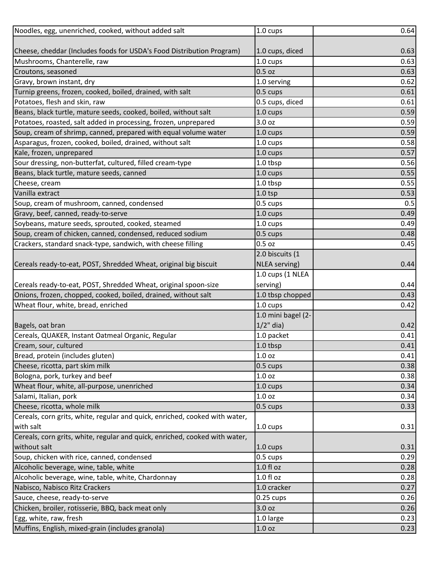| Noodles, egg, unenriched, cooked, without added salt                        | 1.0 cups           | 0.64 |
|-----------------------------------------------------------------------------|--------------------|------|
|                                                                             |                    |      |
| Cheese, cheddar (Includes foods for USDA's Food Distribution Program)       | 1.0 cups, diced    | 0.63 |
| Mushrooms, Chanterelle, raw                                                 | 1.0 cups           | 0.63 |
| Croutons, seasoned                                                          | $0.5$ oz           | 0.63 |
| Gravy, brown instant, dry                                                   | 1.0 serving        | 0.62 |
| Turnip greens, frozen, cooked, boiled, drained, with salt                   | 0.5 cups           | 0.61 |
| Potatoes, flesh and skin, raw                                               | 0.5 cups, diced    | 0.61 |
| Beans, black turtle, mature seeds, cooked, boiled, without salt             | 1.0 cups           | 0.59 |
| Potatoes, roasted, salt added in processing, frozen, unprepared             | 3.0 oz             | 0.59 |
| Soup, cream of shrimp, canned, prepared with equal volume water             | 1.0 cups           | 0.59 |
| Asparagus, frozen, cooked, boiled, drained, without salt                    | 1.0 cups           | 0.58 |
| Kale, frozen, unprepared                                                    | 1.0 cups           | 0.57 |
| Sour dressing, non-butterfat, cultured, filled cream-type                   | 1.0 tbsp           | 0.56 |
| Beans, black turtle, mature seeds, canned                                   | 1.0 cups           | 0.55 |
| Cheese, cream                                                               | 1.0 tbsp           | 0.55 |
| Vanilla extract                                                             | 1.0 <sub>tsp</sub> | 0.53 |
| Soup, cream of mushroom, canned, condensed                                  | 0.5 cups           | 0.5  |
| Gravy, beef, canned, ready-to-serve                                         | 1.0 cups           | 0.49 |
| Soybeans, mature seeds, sprouted, cooked, steamed                           | 1.0 cups           | 0.49 |
| Soup, cream of chicken, canned, condensed, reduced sodium                   | 0.5 cups           | 0.48 |
| Crackers, standard snack-type, sandwich, with cheese filling                | $0.5$ oz           | 0.45 |
|                                                                             | 2.0 biscuits (1    |      |
| Cereals ready-to-eat, POST, Shredded Wheat, original big biscuit            | NLEA serving)      | 0.44 |
|                                                                             | 1.0 cups (1 NLEA   |      |
| Cereals ready-to-eat, POST, Shredded Wheat, original spoon-size             | serving)           | 0.44 |
| Onions, frozen, chopped, cooked, boiled, drained, without salt              | 1.0 tbsp chopped   | 0.43 |
| Wheat flour, white, bread, enriched                                         | 1.0 cups           | 0.42 |
|                                                                             | 1.0 mini bagel (2- |      |
| Bagels, oat bran                                                            | $1/2$ " dia)       | 0.42 |
| Cereals, QUAKER, Instant Oatmeal Organic, Regular                           | 1.0 packet         | 0.41 |
| Cream, sour, cultured                                                       | 1.0 tbsp           | 0.41 |
| Bread, protein (includes gluten)                                            | 1.0 <sub>oz</sub>  | 0.41 |
| Cheese, ricotta, part skim milk                                             | $0.5 \text{ cups}$ | 0.38 |
| Bologna, pork, turkey and beef                                              | 1.0 <sub>oz</sub>  | 0.38 |
| Wheat flour, white, all-purpose, unenriched                                 | 1.0 cups           | 0.34 |
| Salami, Italian, pork                                                       | 1.0 oz             | 0.34 |
| Cheese, ricotta, whole milk                                                 | 0.5 cups           | 0.33 |
| Cereals, corn grits, white, regular and quick, enriched, cooked with water, |                    |      |
| with salt                                                                   | 1.0 cups           | 0.31 |
| Cereals, corn grits, white, regular and quick, enriched, cooked with water, |                    |      |
| without salt                                                                | $1.0 \text{ cups}$ | 0.31 |
| Soup, chicken with rice, canned, condensed                                  | 0.5 cups           | 0.29 |
| Alcoholic beverage, wine, table, white                                      | 1.0 f1 oz          | 0.28 |
| Alcoholic beverage, wine, table, white, Chardonnay                          | 1.0 fl oz          | 0.28 |
| Nabisco, Nabisco Ritz Crackers                                              | 1.0 cracker        | 0.27 |
| Sauce, cheese, ready-to-serve                                               | $0.25$ cups        | 0.26 |
| Chicken, broiler, rotisserie, BBQ, back meat only                           | 3.0 oz             | 0.26 |
| Egg, white, raw, fresh                                                      | 1.0 large          | 0.23 |
| Muffins, English, mixed-grain (includes granola)                            | 1.0 oz             | 0.23 |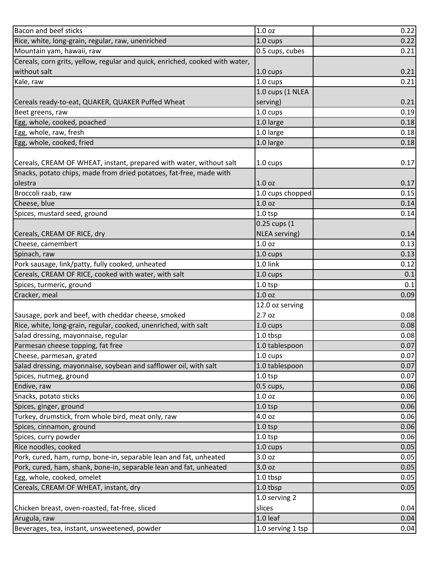| Bacon and beef sticks                                                        | 1.0 oz               | 0.22 |
|------------------------------------------------------------------------------|----------------------|------|
| Rice, white, long-grain, regular, raw, unenriched                            | 1.0 cups             | 0.22 |
| Mountain yam, hawaii, raw                                                    | 0.5 cups, cubes      | 0.21 |
| Cereals, corn grits, yellow, regular and quick, enriched, cooked with water, |                      |      |
| without salt                                                                 | $1.0 \text{ cups}$   | 0.21 |
| Kale, raw                                                                    | 1.0 cups             | 0.21 |
|                                                                              | 1.0 cups (1 NLEA     |      |
| Cereals ready-to-eat, QUAKER, QUAKER Puffed Wheat                            | serving)             | 0.21 |
| Beet greens, raw                                                             | 1.0 cups             | 0.19 |
| Egg, whole, cooked, poached                                                  | 1.0 large            | 0.18 |
| Egg, whole, raw, fresh                                                       | 1.0 large            | 0.18 |
| Egg, whole, cooked, fried                                                    | 1.0 large            | 0.18 |
|                                                                              |                      |      |
| Cereals, CREAM OF WHEAT, instant, prepared with water, without salt          | 1.0 cups             | 0.17 |
| Snacks, potato chips, made from dried potatoes, fat-free, made with          |                      |      |
| olestra                                                                      | 1.0 <sub>oz</sub>    | 0.17 |
| Broccoli raab, raw                                                           | 1.0 cups chopped     | 0.15 |
| Cheese, blue                                                                 | 1.0 <sub>oz</sub>    | 0.14 |
| Spices, mustard seed, ground                                                 | $1.0$ tsp            | 0.14 |
|                                                                              | 0.25 cups (1         |      |
| Cereals, CREAM OF RICE, dry                                                  | <b>NLEA</b> serving) | 0.14 |
| Cheese, camembert                                                            | 1.0 oz               | 0.13 |
| Spinach, raw                                                                 | $1.0 \text{ cups}$   | 0.13 |
| Pork sausage, link/patty, fully cooked, unheated                             | 1.0 link             | 0.12 |
| Cereals, CREAM OF RICE, cooked with water, with salt                         | 1.0 cups             | 0.1  |
| Spices, turmeric, ground                                                     | $1.0$ tsp            | 0.1  |
| Cracker, meal                                                                | 1.0 <sub>oz</sub>    | 0.09 |
|                                                                              | 12.0 oz serving      |      |
| Sausage, pork and beef, with cheddar cheese, smoked                          | 2.7 oz               | 0.08 |
| Rice, white, long-grain, regular, cooked, unenriched, with salt              | 1.0 cups             | 0.08 |
| Salad dressing, mayonnaise, regular                                          | 1.0 tbsp             | 0.08 |
| Parmesan cheese topping, fat free                                            | 1.0 tablespoon       | 0.07 |
| Cheese, parmesan, grated                                                     | 1.0 cups             | 0.07 |
| Salad dressing, mayonnaise, soybean and safflower oil, with salt             | 1.0 tablespoon       | 0.07 |
| Spices, nutmeg, ground                                                       | $1.0$ tsp            | 0.07 |
| Endive, raw                                                                  | 0.5 cups,            | 0.06 |
| Snacks, potato sticks                                                        | 1.0 oz               | 0.06 |
| Spices, ginger, ground                                                       | $1.0$ tsp            | 0.06 |
| Turkey, drumstick, from whole bird, meat only, raw                           | 4.0 oz               | 0.06 |
| Spices, cinnamon, ground                                                     | $1.0$ tsp            | 0.06 |
| Spices, curry powder                                                         | 1.0 <sub>tp</sub>    | 0.06 |
| Rice noodles, cooked                                                         | 1.0 cups             | 0.05 |
| Pork, cured, ham, rump, bone-in, separable lean and fat, unheated            | 3.0 oz               | 0.05 |
| Pork, cured, ham, shank, bone-in, separable lean and fat, unheated           | 3.0 oz               | 0.05 |
| Egg, whole, cooked, omelet                                                   | 1.0 tbsp             | 0.05 |
| Cereals, CREAM OF WHEAT, instant, dry                                        | 1.0 tbsp             | 0.05 |
|                                                                              | 1.0 serving 2        |      |
| Chicken breast, oven-roasted, fat-free, sliced                               | slices               | 0.04 |
| Arugula, raw                                                                 | 1.0 leaf             | 0.04 |
| Beverages, tea, instant, unsweetened, powder                                 | 1.0 serving 1 tsp    | 0.04 |